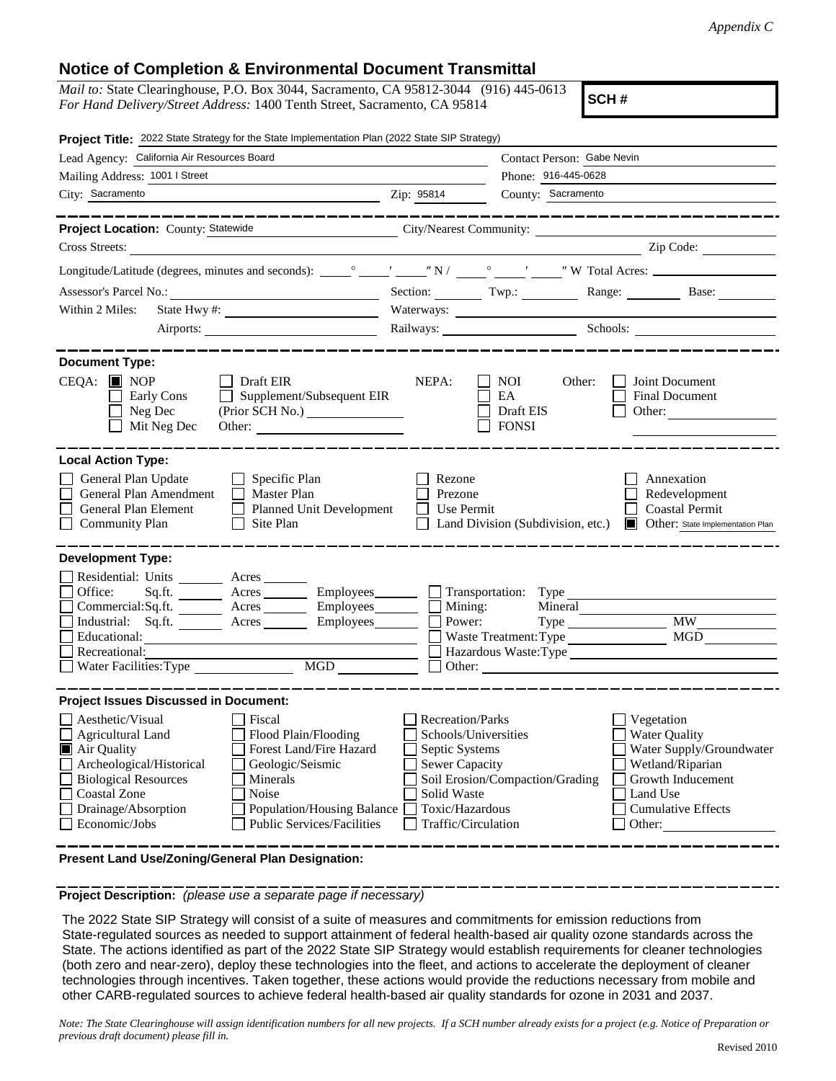## **Notice of Completion & Environmental Document Transmittal**

| <i>Mail to:</i> State Clearinghouse, P.O. Box 3044, Sacramento, CA 95812-3044 (916) 445-0613 |  |
|----------------------------------------------------------------------------------------------|--|
| For Hand Delivery/Street Address: 1400 Tenth Street, Sacramento, CA 95814                    |  |

**SCH #**

| Project Title: 2022 State Strategy for the State Implementation Plan (2022 State SIP Strategy)                                                                                                                                                                                                                                                                                                                                                                                                      |                                                                                                                                              |                                                                   |                                                                                                                                                            |  |
|-----------------------------------------------------------------------------------------------------------------------------------------------------------------------------------------------------------------------------------------------------------------------------------------------------------------------------------------------------------------------------------------------------------------------------------------------------------------------------------------------------|----------------------------------------------------------------------------------------------------------------------------------------------|-------------------------------------------------------------------|------------------------------------------------------------------------------------------------------------------------------------------------------------|--|
| Lead Agency: California Air Resources Board                                                                                                                                                                                                                                                                                                                                                                                                                                                         |                                                                                                                                              | Contact Person: Gabe Nevin                                        |                                                                                                                                                            |  |
| Mailing Address: 1001   Street                                                                                                                                                                                                                                                                                                                                                                                                                                                                      |                                                                                                                                              | Phone: 916-445-0628                                               |                                                                                                                                                            |  |
| City: Sacramento<br>$\overline{\phantom{a}}$ $\overline{\phantom{a}}$ $\overline{\phantom{a}}$ $\overline{\phantom{a}}$ $\overline{\phantom{a}}$ $\overline{\phantom{a}}$ $\overline{\phantom{a}}$ $\overline{\phantom{a}}$ $\overline{\phantom{a}}$ $\overline{\phantom{a}}$ $\overline{\phantom{a}}$ $\overline{\phantom{a}}$ $\overline{\phantom{a}}$ $\overline{\phantom{a}}$ $\overline{\phantom{a}}$ $\overline{\phantom{a}}$ $\overline{\phantom{a}}$ $\overline{\phantom{a}}$ $\overline{\$ |                                                                                                                                              | County: Sacramento                                                |                                                                                                                                                            |  |
| -------------                                                                                                                                                                                                                                                                                                                                                                                                                                                                                       |                                                                                                                                              |                                                                   |                                                                                                                                                            |  |
| Project Location: County: Statewide<br>City/Nearest Community:                                                                                                                                                                                                                                                                                                                                                                                                                                      |                                                                                                                                              |                                                                   |                                                                                                                                                            |  |
| Cross Streets:                                                                                                                                                                                                                                                                                                                                                                                                                                                                                      |                                                                                                                                              |                                                                   | Zip Code:                                                                                                                                                  |  |
|                                                                                                                                                                                                                                                                                                                                                                                                                                                                                                     |                                                                                                                                              |                                                                   |                                                                                                                                                            |  |
|                                                                                                                                                                                                                                                                                                                                                                                                                                                                                                     |                                                                                                                                              |                                                                   | Section: Twp.: Range: Base:                                                                                                                                |  |
| Within 2 Miles:                                                                                                                                                                                                                                                                                                                                                                                                                                                                                     | Waterways:                                                                                                                                   |                                                                   |                                                                                                                                                            |  |
| Airports:                                                                                                                                                                                                                                                                                                                                                                                                                                                                                           |                                                                                                                                              |                                                                   | Railways: Schools: Schools:                                                                                                                                |  |
|                                                                                                                                                                                                                                                                                                                                                                                                                                                                                                     |                                                                                                                                              |                                                                   |                                                                                                                                                            |  |
| <b>Document Type:</b><br>$CEOA:$ MOP<br>Draft EIR<br>$\Box$ Supplement/Subsequent EIR<br>Early Cons<br>Neg Dec<br>$\Box$ Mit Neg Dec                                                                                                                                                                                                                                                                                                                                                                | NEPA:                                                                                                                                        | NOI -<br>Other:<br>EA<br>Draft EIS<br>$\Box$ FONSI                | Joint Document<br><b>Final Document</b><br>Other:                                                                                                          |  |
| <b>Local Action Type:</b>                                                                                                                                                                                                                                                                                                                                                                                                                                                                           |                                                                                                                                              |                                                                   |                                                                                                                                                            |  |
| General Plan Update<br>$\Box$ Specific Plan<br>General Plan Amendment<br>Master Plan<br>General Plan Element<br>Planned Unit Development<br><b>Community Plan</b><br>$\Box$ Site Plan                                                                                                                                                                                                                                                                                                               | Rezone<br>Prezone<br>$\Box$ Use Permit                                                                                                       |                                                                   | Annexation<br>Redevelopment<br><b>Coastal Permit</b><br>□ Land Division (Subdivision, etc.) ■ Other: State Implementation Plan                             |  |
| <b>Development Type:</b><br>Residential: Units ________ Acres _______<br>Office:<br>Sq.ft. ________ Acres _________ Employees________ __ Transportation: Type _<br>Commercial:Sq.ft. <u>Acres</u> Acres Employees<br>Industrial: Sq.ft. Acres Employees<br>Educational:<br>Recreational:                                                                                                                                                                                                            | $\Box$ Mining:<br>Power:                                                                                                                     | Mineral<br>Type<br>Waste Treatment: Type<br>Hazardous Waste: Type | <b>MW</b><br>MGD                                                                                                                                           |  |
| <b>Project Issues Discussed in Document:</b>                                                                                                                                                                                                                                                                                                                                                                                                                                                        |                                                                                                                                              |                                                                   |                                                                                                                                                            |  |
| Aesthetic/Visual<br>Fiscal<br><b>Agricultural Land</b><br>Flood Plain/Flooding<br>Forest Land/Fire Hazard<br>Air Quality<br>Archeological/Historical<br>Geologic/Seismic<br>Biological Resources<br>Minerals<br><b>Coastal Zone</b><br><b>Noise</b><br>Drainage/Absorption<br>Population/Housing Balance<br>$\Box$ Economic/Jobs<br><b>Public Services/Facilities</b>                                                                                                                               | <b>Recreation/Parks</b><br>Schools/Universities<br>Septic Systems<br>Sewer Capacity<br>Solid Waste<br>Toxic/Hazardous<br>Traffic/Circulation | Soil Erosion/Compaction/Grading                                   | Vegetation<br><b>Water Quality</b><br>Water Supply/Groundwater<br>Wetland/Riparian<br>Growth Inducement<br>Land Use<br><b>Cumulative Effects</b><br>Other: |  |

**Present Land Use/Zoning/General Plan Designation:**

**Project Description:** *(please use a separate page if necessary)*

 The 2022 State SIP Strategy will consist of a suite of measures and commitments for emission reductions from State-regulated sources as needed to support attainment of federal health-based air quality ozone standards across the State. The actions identified as part of the 2022 State SIP Strategy would establish requirements for cleaner technologies (both zero and near-zero), deploy these technologies into the fleet, and actions to accelerate the deployment of cleaner technologies through incentives. Taken together, these actions would provide the reductions necessary from mobile and other CARB-regulated sources to achieve federal health-based air quality standards for ozone in 2031 and 2037.

*Note: The State Clearinghouse will assign identification numbers for all new projects. If a SCH number already exists for a project (e.g. Notice of Preparation or previous draft document) please fill in.*